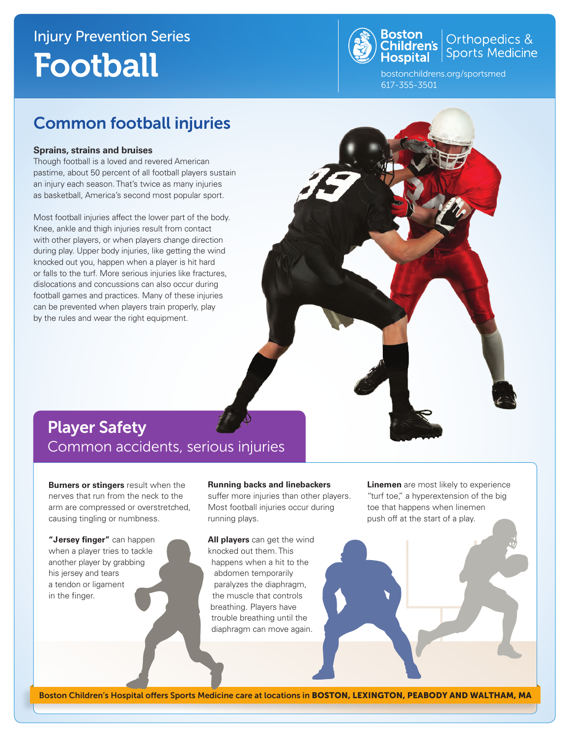## Injury Prevention Series Football



Orthopedics &<br>Sports Medicine

bostonchildrens.org/sportsmed 617-355-3501

### Common football injuries

#### **Sprains, strains and bruises**

Though football is a loved and revered American pastime, about 50 percent of all football players sustain an injury each season. That's twice as many injuries as basketball, America's second most popular sport.

Most football injuries affect the lower part of the body. Knee, ankle and thigh injuries result from contact with other players, or when players change direction during play. Upper body injuries, like getting the wind knocked out you, happen when a player is hit hard or falls to the turf. More serious injuries like fractures, dislocations and concussions can also occur during football games and practices. Many of these injuries can be prevented when players train properly, play by the rules and wear the right equipment.

### Player Safety Common accidents, serious injuries

**Burners or stingers** result when the nerves that run from the neck to the arm are compressed or overstretched, causing tingling or numbness.

**"Jersey finger"** can happen when a player tries to tackle another player by grabbing his jersey and tears a tendon or ligament in the finger.

#### **Running backs and linebackers**

suffer more injuries than other players. Most football injuries occur during running plays.

**All players** can get the wind knocked out them. This happens when a hit to the abdomen temporarily paralyzes the diaphragm, the muscle that controls breathing. Players have trouble breathing until the diaphragm can move again.

**Linemen** are most likely to experience "turf toe," a hyperextension of the big toe that happens when linemen push off at the start of a play.

Boston Children's Hospital offers Sports Medicine care at locations in BOSTON, LEXINGTON, PEABODY AND WALTHAM, MA